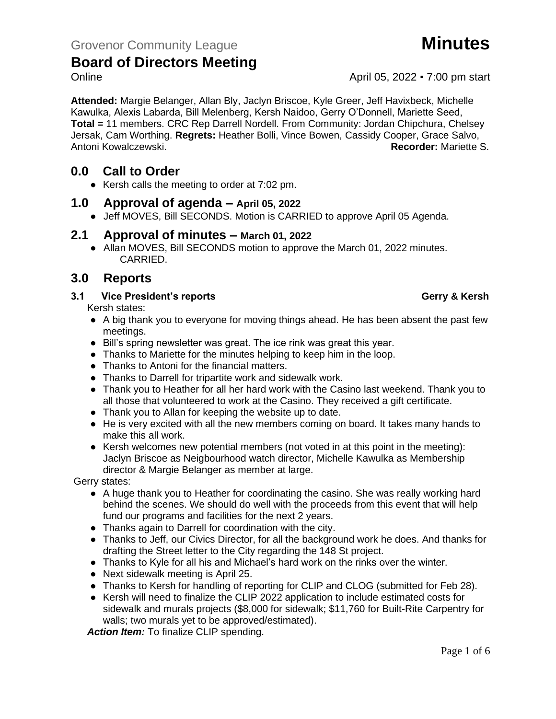**Attended:** Margie Belanger, Allan Bly, Jaclyn Briscoe, Kyle Greer, Jeff Havixbeck, Michelle Kawulka, Alexis Labarda, Bill Melenberg, Kersh Naidoo, Gerry O'Donnell, Mariette Seed, **Total =** 11 members. CRC Rep Darrell Nordell. From Community: Jordan Chipchura, Chelsey Jersak, Cam Worthing. **Regrets:** Heather Bolli, Vince Bowen, Cassidy Cooper, Grace Salvo, Antoni Kowalczewski. **Recorder:** Mariette S.

# **0.0 Call to Order**

● Kersh calls the meeting to order at 7:02 pm.

## **1.0 Approval of agenda – April 05, 2022**

● Jeff MOVES, Bill SECONDS. Motion is CARRIED to approve April 05 Agenda.

## **2.1 Approval of minutes – March 01, 2022**

● Allan MOVES, Bill SECONDS motion to approve the March 01, 2022 minutes. CARRIED.

# **3.0 Reports**

### **3.1 Vice President's reports Gerry & Kersh**

Kersh states:

- A big thank you to everyone for moving things ahead. He has been absent the past few meetings.
- Bill's spring newsletter was great. The ice rink was great this year.
- Thanks to Mariette for the minutes helping to keep him in the loop.
- Thanks to Antoni for the financial matters.
- Thanks to Darrell for tripartite work and sidewalk work.
- Thank you to Heather for all her hard work with the Casino last weekend. Thank you to all those that volunteered to work at the Casino. They received a gift certificate.
- Thank you to Allan for keeping the website up to date.
- He is very excited with all the new members coming on board. It takes many hands to make this all work.
- Kersh welcomes new potential members (not voted in at this point in the meeting): Jaclyn Briscoe as Neigbourhood watch director, Michelle Kawulka as Membership director & Margie Belanger as member at large.

Gerry states:

- A huge thank you to Heather for coordinating the casino. She was really working hard behind the scenes. We should do well with the proceeds from this event that will help fund our programs and facilities for the next 2 years.
- Thanks again to Darrell for coordination with the city.
- Thanks to Jeff, our Civics Director, for all the background work he does. And thanks for drafting the Street letter to the City regarding the 148 St project.
- Thanks to Kyle for all his and Michael's hard work on the rinks over the winter.
- Next sidewalk meeting is April 25.
- Thanks to Kersh for handling of reporting for CLIP and CLOG (submitted for Feb 28).
- Kersh will need to finalize the CLIP 2022 application to include estimated costs for sidewalk and murals projects (\$8,000 for sidewalk; \$11,760 for Built-Rite Carpentry for walls; two murals yet to be approved/estimated).

*Action Item:* To finalize CLIP spending.

Online **April 05, 2022 • 7:00 pm start**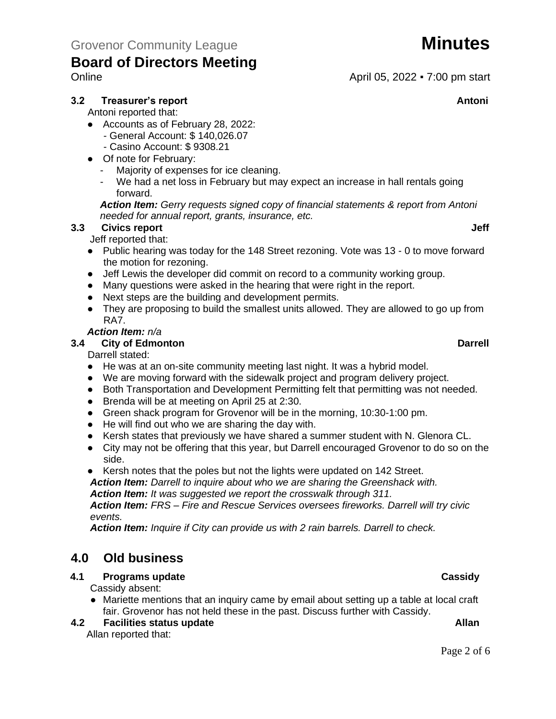#### **3.2 Treasurer's report Antonic Street Antonic Street Antonic Street Antonic Street Antonic Antonic Antonic Antoni**

Antoni reported that:

- Accounts as of February 28, 2022:
	- General Account: \$ 140,026.07
	- Casino Account: \$ 9308.21
- Of note for February:
	- Majority of expenses for ice cleaning.
	- We had a net loss in February but may expect an increase in hall rentals going forward.

*Action Item: Gerry requests signed copy of financial statements & report from Antoni needed for annual report, grants, insurance, etc.*

### **3.3 Civics report Jeff**

Jeff reported that:

- Public hearing was today for the 148 Street rezoning. Vote was 13 0 to move forward the motion for rezoning.
- Jeff Lewis the developer did commit on record to a community working group.
- Many questions were asked in the hearing that were right in the report.
- Next steps are the building and development permits.
- They are proposing to build the smallest units allowed. They are allowed to go up from RA7.

#### *Action Item: n/a*

#### **3.4 City of Edmonton Darrell**

Darrell stated:

- He was at an on-site community meeting last night. It was a hybrid model.
- We are moving forward with the sidewalk project and program delivery project.
- Both Transportation and Development Permitting felt that permitting was not needed.
- Brenda will be at meeting on April 25 at 2:30.
- Green shack program for Grovenor will be in the morning, 10:30-1:00 pm.
- He will find out who we are sharing the day with.
- Kersh states that previously we have shared a summer student with N. Glenora CL.
- City may not be offering that this year, but Darrell encouraged Grovenor to do so on the side.
- Kersh notes that the poles but not the lights were updated on 142 Street.

*Action Item: Darrell to inquire about who we are sharing the Greenshack with.* 

*Action Item: It was suggested we report the crosswalk through 311.*

*Action Item: FRS – Fire and Rescue Services oversees fireworks. Darrell will try civic events.*

*Action Item: Inquire if City can provide us with 2 rain barrels. Darrell to check.*

# **4.0 Old business**

### **4.1 Programs update Cassidy**

Cassidy absent:

● Mariette mentions that an inquiry came by email about setting up a table at local craft fair. Grovenor has not held these in the past. Discuss further with Cassidy.

#### **4.2 4.2 Facilities status update Allan**

Allan reported that:

## Online **April 05, 2022 • 7:00 pm start**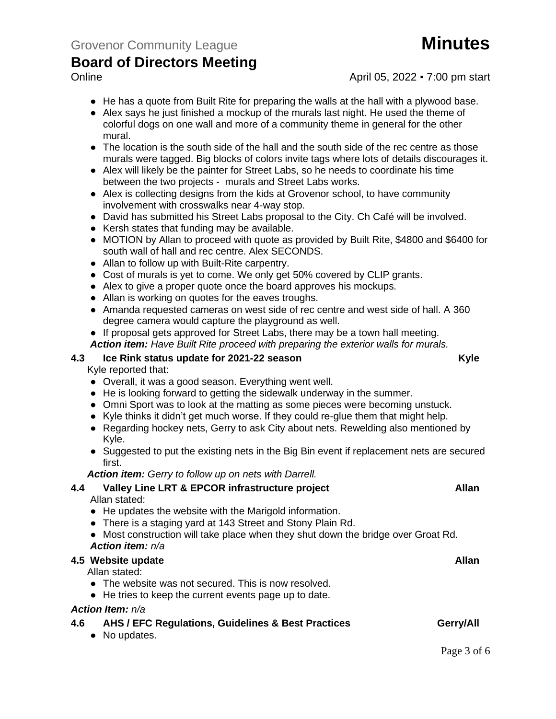### Online **April 05, 2022 • 7:00 pm start**

- He has a quote from Built Rite for preparing the walls at the hall with a plywood base.
- Alex says he just finished a mockup of the murals last night. He used the theme of colorful dogs on one wall and more of a community theme in general for the other mural.
- The location is the south side of the hall and the south side of the rec centre as those murals were tagged. Big blocks of colors invite tags where lots of details discourages it.
- Alex will likely be the painter for Street Labs, so he needs to coordinate his time between the two projects - murals and Street Labs works.
- Alex is collecting designs from the kids at Grovenor school, to have community involvement with crosswalks near 4-way stop.
- David has submitted his Street Labs proposal to the City. Ch Café will be involved.
- Kersh states that funding may be available.
- MOTION by Allan to proceed with quote as provided by Built Rite, \$4800 and \$6400 for south wall of hall and rec centre. Alex SECONDS.
- Allan to follow up with Built-Rite carpentry.
- Cost of murals is yet to come. We only get 50% covered by CLIP grants.
- Alex to give a proper quote once the board approves his mockups.
- Allan is working on quotes for the eaves troughs.
- Amanda requested cameras on west side of rec centre and west side of hall. A 360 degree camera would capture the playground as well.
- If proposal gets approved for Street Labs, there may be a town hall meeting.
- *Action item: Have Built Rite proceed with preparing the exterior walls for murals.*

#### **4.3 Ice Rink status update for 2021-22 season Kyle**

Kyle reported that:

- Overall, it was a good season. Everything went well.
- He is looking forward to getting the sidewalk underway in the summer.
- Omni Sport was to look at the matting as some pieces were becoming unstuck.
- Kyle thinks it didn't get much worse. If they could re-glue them that might help.
- Regarding hockey nets, Gerry to ask City about nets. Rewelding also mentioned by Kyle.
- Suggested to put the existing nets in the Big Bin event if replacement nets are secured first.

*Action item: Gerry to follow up on nets with Darrell.*

# **4.4 Valley Line LRT & EPCOR infrastructure project Allan**

Allan stated:

- He updates the website with the Marigold information.
- There is a staging yard at 143 Street and Stony Plain Rd.
- Most construction will take place when they shut down the bridge over Groat Rd. *Action item: n/a*

#### **4.5** Website update **Allan**

Allan stated:

- The website was not secured. This is now resolved.
- He tries to keep the current events page up to date.

#### *Action Item: n/a*

- **4.6 AHS / EFC Regulations, Guidelines & Best Practices Gerry/All** 
	- No updates.

Page 3 of 6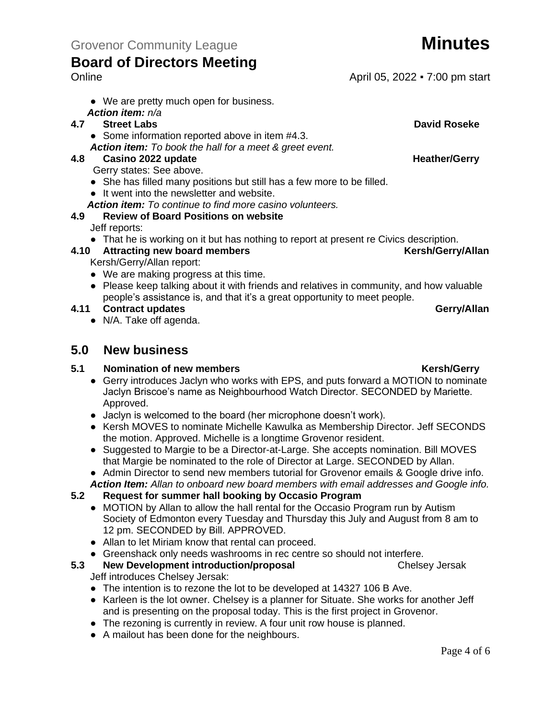● We are pretty much open for business.

### *Action item: n/a*

### **4.7 Street Labs David Roseke**

- Some information reported above in item #4.3.
- *Action item: To book the hall for a meet & greet event.*

### **4.8 Casino 2022 update Heather/Gerry**

Gerry states: See above.

- She has filled many positions but still has a few more to be filled.
- It went into the newsletter and website.
- *Action item: To continue to find more casino volunteers.*

## **4.9 Review of Board Positions on website**

Jeff reports:

● That he is working on it but has nothing to report at present re Civics description.

**4.10 Attracting new board members Kersh/Gerry/Allan** Kersh/Gerry/Allan report:

- We are making progress at this time.
- Please keep talking about it with friends and relatives in community, and how valuable people's assistance is, and that it's a great opportunity to meet people.

### **4.11 Contract updates Gerry/Allan**

● N/A. Take off agenda.

# **5.0 New business**

## **5.1 Nomination of new members Kersh/Gerry Kersh/Gerry**

- Gerry introduces Jaclyn who works with EPS, and puts forward a MOTION to nominate Jaclyn Briscoe's name as Neighbourhood Watch Director. SECONDED by Mariette. Approved.
- Jaclyn is welcomed to the board (her microphone doesn't work).
- Kersh MOVES to nominate Michelle Kawulka as Membership Director. Jeff SECONDS the motion. Approved. Michelle is a longtime Grovenor resident.
- Suggested to Margie to be a Director-at-Large. She accepts nomination. Bill MOVES that Margie be nominated to the role of Director at Large. SECONDED by Allan.
- Admin Director to send new members tutorial for Grovenor emails & Google drive info. *Action Item: Allan to onboard new board members with email addresses and Google info.*
- **5.2 Request for summer hall booking by Occasio Program**
	- MOTION by Allan to allow the hall rental for the Occasio Program run by Autism Society of Edmonton every Tuesday and Thursday this July and August from 8 am to 12 pm. SECONDED by Bill. APPROVED.
	- Allan to let Miriam know that rental can proceed.
	- Greenshack only needs washrooms in rec centre so should not interfere.<br>New Development introduction/proposal behind the chelsey Jersak
- **5.3** New Development introduction/proposal Jeff introduces Chelsey Jersak:
	- The intention is to rezone the lot to be developed at 14327 106 B Ave.
	- Karleen is the lot owner. Chelsey is a planner for Situate. She works for another Jeff and is presenting on the proposal today. This is the first project in Grovenor.
	- The rezoning is currently in review. A four unit row house is planned.
	- A mailout has been done for the neighbours.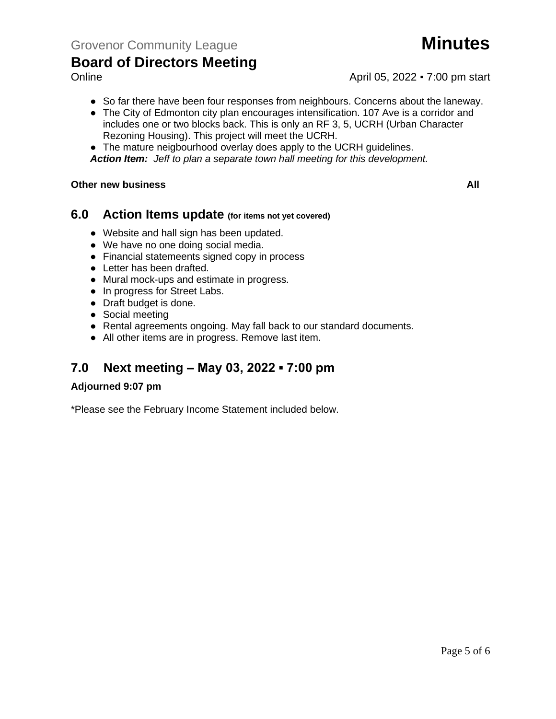

- Online **April 05, 2022 7:00 pm start** 
	- So far there have been four responses from neighbours. Concerns about the laneway.
	- The City of Edmonton city plan encourages intensification. 107 Ave is a corridor and includes one or two blocks back. This is only an RF 3, 5, UCRH (Urban Character Rezoning Housing). This project will meet the UCRH.
	- The mature neigbourhood overlay does apply to the UCRH guidelines.
	- *Action Item: Jeff to plan a separate town hall meeting for this development.*

#### **5.4 Other new business All**

### **6.0 Action Items update (for items not yet covered)**

- Website and hall sign has been updated.
- We have no one doing social media.
- Financial statemeents signed copy in process
- Letter has been drafted.
- Mural mock-ups and estimate in progress.
- In progress for Street Labs.
- Draft budget is done.
- Social meeting
- Rental agreements ongoing. May fall back to our standard documents.
- All other items are in progress. Remove last item.

# **7.0 Next meeting – May 03, 2022 ▪ 7:00 pm**

#### **Adjourned 9:07 pm**

\*Please see the February Income Statement included below.